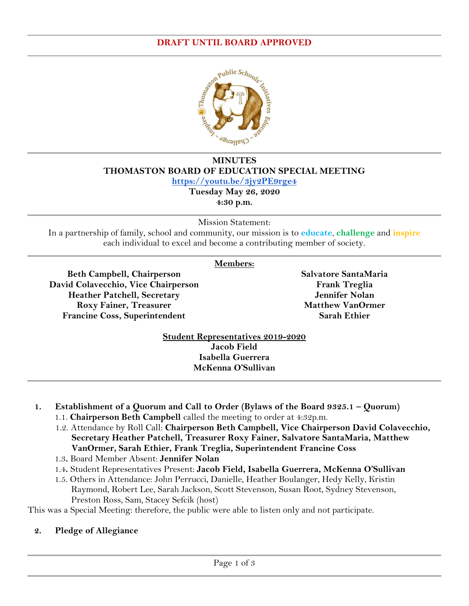#### **DRAFT UNTIL BOARD APPROVED**



# **MINUTES THOMASTON BOARD OF EDUCATION SPECIAL MEETING**

**<https://youtu.be/3jy2PE9rge4>**

**Tuesday May 26, 2020 4:30 p.m.**

Mission Statement:

In a partnership of family, school and community, our mission is to **educate**, **challenge** and **inspire** each individual to excel and become a contributing member of society.

### **Members:**

**Beth Campbell, Chairperson David Colavecchio, Vice Chairperson Heather Patchell, Secretary Roxy Fainer, Treasurer Francine Coss, Superintendent**

**Salvatore SantaMaria Frank Treglia Jennifer Nolan Matthew VanOrmer Sarah Ethier**

**Student Representatives 2019-2020 Jacob Field Isabella Guerrera McKenna O'Sullivan**

- **1. Establishment of a Quorum and Call to Order (Bylaws of the Board 9325.1 – Quorum)** 1.1. **Chairperson Beth Campbell** called the meeting to order at 4:32p.m.
	- 1.2. Attendance by Roll Call: **Chairperson Beth Campbell, Vice Chairperson David Colavecchio, Secretary Heather Patchell, Treasurer Roxy Fainer, Salvatore SantaMaria, Matthew VanOrmer, Sarah Ethier, Frank Treglia, Superintendent Francine Coss**
	- 1.3**.** Board Member Absent: **Jennifer Nolan**
	- 1.4**.** Student Representatives Present: **Jacob Field, Isabella Guerrera, McKenna O'Sullivan**
	- 1.5. Others in Attendance: John Perrucci, Danielle, Heather Boulanger, Hedy Kelly, Kristin Raymond, Robert Lee, Sarah Jackson, Scott Stevenson, Susan Root, Sydney Stevenson, Preston Ross, Sam, Stacey Sefcik (host)

This was a Special Meeting: therefore, the public were able to listen only and not participate.

### **2. Pledge of Allegiance**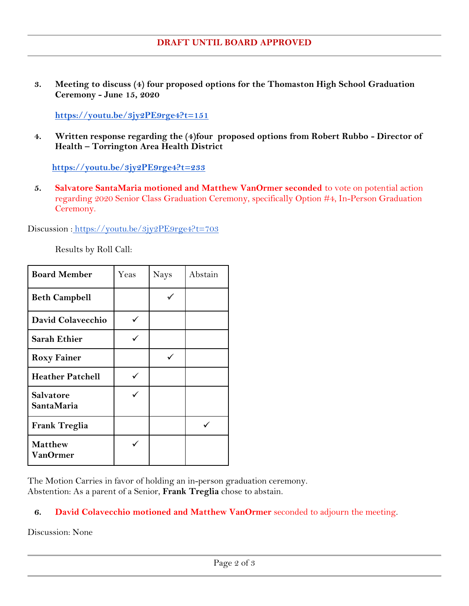**3. Meeting to discuss (4) four proposed options for the Thomaston High School Graduation Ceremony - June 15, 2020**

**<https://youtu.be/3jy2PE9rge4?t=151>**

**4. Written response regarding the (4)four proposed options from Robert Rubbo - Director of Health – Torrington Area Health District**

 **<https://youtu.be/3jy2PE9rge4?t=233>**

**5. Salvatore SantaMaria motioned and Matthew VanOrmer seconded** to vote on potential action regarding 2020 Senior Class Graduation Ceremony, specifically Option #4, In-Person Graduation Ceremony.

Discussion: <https://youtu.be/3jy2PE9rge4?t=703>

Results by Roll Call:

| <b>Board Member</b>                   | Yeas | Nays | Abstain |
|---------------------------------------|------|------|---------|
| <b>Beth Campbell</b>                  |      |      |         |
| David Colavecchio                     | ✓    |      |         |
| <b>Sarah Ethier</b>                   |      |      |         |
| <b>Roxy Fainer</b>                    |      |      |         |
| <b>Heather Patchell</b>               |      |      |         |
| <b>Salvatore</b><br><b>SantaMaria</b> |      |      |         |
| <b>Frank Treglia</b>                  |      |      |         |
| <b>Matthew</b><br>VanOrmer            |      |      |         |

The Motion Carries in favor of holding an in-person graduation ceremony. Abstention: As a parent of a Senior, **Frank Treglia** chose to abstain.

### **6. David Colavecchio motioned and Matthew VanOrmer** seconded to adjourn the meeting.

Discussion: None